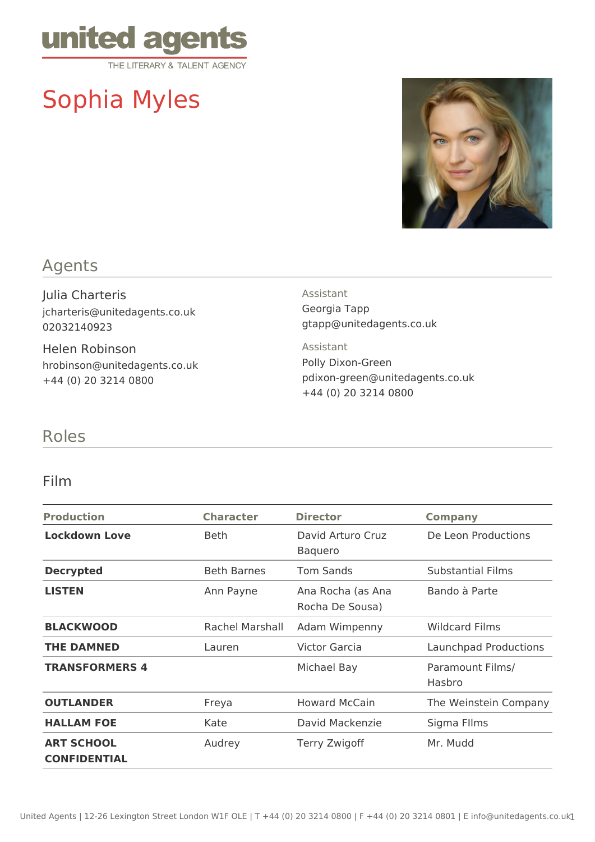

# Sophia Myles



# Agents

Julia Charteris jcharteris@unitedagents.co.uk 02032140923

Helen Robinson hrobinson@unitedagents.co.uk +44 (0) 20 3214 0800

#### Assistant

Georgia Tapp gtapp@unitedagents.co.uk

Assistant Polly Dixon-Green pdixon-green@unitedagents.co.uk +44 (0) 20 3214 0800

## Roles

#### Film

| <b>Production</b>                        | <b>Character</b>   | <b>Director</b>                      | <b>Company</b>             |
|------------------------------------------|--------------------|--------------------------------------|----------------------------|
| <b>Lockdown Love</b>                     | Beth               | David Arturo Cruz<br><b>Baquero</b>  | De Leon Productions        |
| <b>Decrypted</b>                         | <b>Beth Barnes</b> | <b>Tom Sands</b>                     | <b>Substantial Films</b>   |
| <b>LISTEN</b>                            | Ann Payne          | Ana Rocha (as Ana<br>Rocha De Sousa) | Bando à Parte              |
| <b>BLACKWOOD</b>                         | Rachel Marshall    | Adam Wimpenny                        | <b>Wildcard Films</b>      |
| <b>THE DAMNED</b>                        | Lauren             | Victor Garcia                        | Launchpad Productions      |
| <b>TRANSFORMERS 4</b>                    |                    | Michael Bay                          | Paramount Films/<br>Hasbro |
| <b>OUTLANDER</b>                         | Freya              | <b>Howard McCain</b>                 | The Weinstein Company      |
| <b>HALLAM FOE</b>                        | Kate               | David Mackenzie                      | Sigma Fllms                |
| <b>ART SCHOOL</b><br><b>CONFIDENTIAL</b> | Audrey             | Terry Zwigoff                        | Mr. Mudd                   |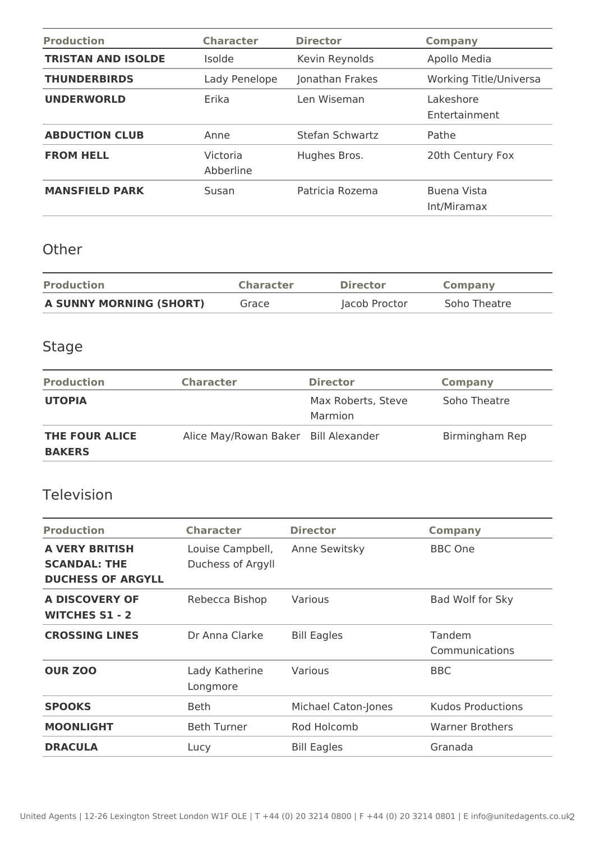| <b>Production</b>         | <b>Character</b>      | <b>Director</b> | <b>Company</b>                |
|---------------------------|-----------------------|-----------------|-------------------------------|
| <b>TRISTAN AND ISOLDE</b> | <i>Isolde</i>         | Kevin Reynolds  | Apollo Media                  |
| <b>THUNDERBIRDS</b>       | Lady Penelope         | Jonathan Frakes | <b>Working Title/Universa</b> |
| <b>UNDERWORLD</b>         | Erika                 | Len Wiseman     | Lakeshore<br>Entertainment    |
| <b>ABDUCTION CLUB</b>     | Anne                  | Stefan Schwartz | Pathe                         |
| <b>FROM HELL</b>          | Victoria<br>Abberline | Hughes Bros.    | 20th Century Fox              |
| <b>MANSFIELD PARK</b>     | Susan                 | Patricia Rozema | Buena Vista<br>Int/Miramax    |

## **Other**

| <b>Production</b>       | <b>Character</b> | <b>Director</b> | <b>Company</b> |
|-------------------------|------------------|-----------------|----------------|
| A SUNNY MORNING (SHORT) | Grace            | Jacob Proctor   | Soho Theatre   |

# Stage

| <b>Production</b>               | <b>Character</b>                     | <b>Director</b>               | Company        |
|---------------------------------|--------------------------------------|-------------------------------|----------------|
| <b>UTOPIA</b>                   |                                      | Max Roberts, Steve<br>Marmion | Soho Theatre   |
| THE FOUR ALICE<br><b>BAKERS</b> | Alice May/Rowan Baker Bill Alexander |                               | Birmingham Rep |

## Television

| <b>Production</b>                                                        | <b>Character</b>                      | <b>Director</b>     | <b>Company</b>           |
|--------------------------------------------------------------------------|---------------------------------------|---------------------|--------------------------|
| <b>A VERY BRITISH</b><br><b>SCANDAL: THE</b><br><b>DUCHESS OF ARGYLL</b> | Louise Campbell,<br>Duchess of Argyll | Anne Sewitsky       | <b>BBC One</b>           |
| A DISCOVERY OF<br><b>WITCHES S1 - 2</b>                                  | Rebecca Bishop                        | Various             | Bad Wolf for Sky         |
| <b>CROSSING LINES</b>                                                    | Dr Anna Clarke                        | <b>Bill Eagles</b>  | Tandem<br>Communications |
| <b>OUR ZOO</b>                                                           | Lady Katherine<br>Longmore            | Various             | <b>BBC</b>               |
| <b>SPOOKS</b>                                                            | <b>Beth</b>                           | Michael Caton-Jones | <b>Kudos Productions</b> |
| <b>MOONLIGHT</b>                                                         | <b>Beth Turner</b>                    | Rod Holcomb         | <b>Warner Brothers</b>   |
| <b>DRACULA</b>                                                           | Lucy                                  | <b>Bill Eagles</b>  | Granada                  |